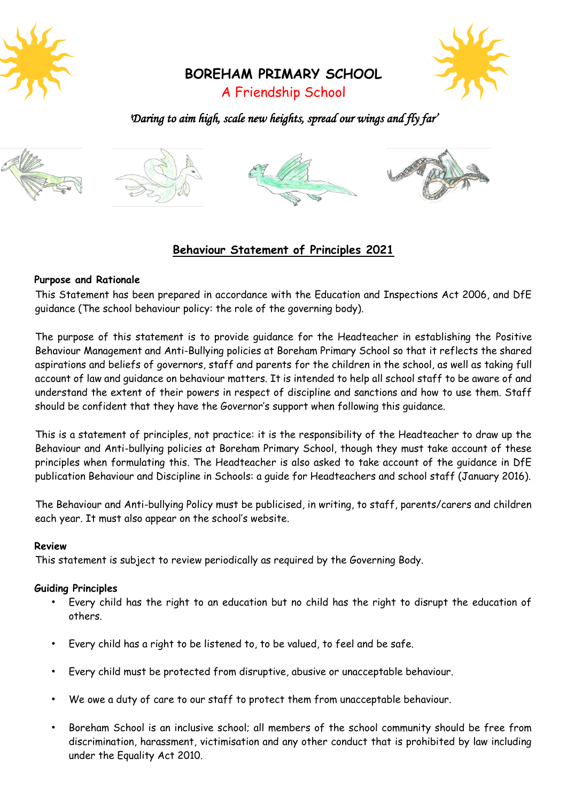



**BOREHAM PRIMARY SCHOOL**

# A Friendship School

## *'Daring to aim high, scale new heights, spread our wings and fly far'*



### **Behaviour Statement of Principles 2021**

#### **Purpose and Rationale**

This Statement has been prepared in accordance with the Education and Inspections Act 2006, and DfE guidance (The school behaviour policy: the role of the governing body).

The purpose of this statement is to provide guidance for the Headteacher in establishing the Positive Behaviour Management and Anti-Bullying policies at Boreham Primary School so that it reflects the shared aspirations and beliefs of governors, staff and parents for the children in the school, as well as taking full account of law and guidance on behaviour matters. It is intended to help all school staff to be aware of and understand the extent of their powers in respect of discipline and sanctions and how to use them. Staff should be confident that they have the Governor's support when following this guidance.

This is a statement of principles, not practice: it is the responsibility of the Headteacher to draw up the Behaviour and Anti-bullying policies at Boreham Primary School, though they must take account of these principles when formulating this. The Headteacher is also asked to take account of the guidance in DfE publication Behaviour and Discipline in Schools: a guide for Headteachers and school staff (January 2016).

The Behaviour and Anti-bullying Policy must be publicised, in writing, to staff, parents/carers and children each year. It must also appear on the school's website.

#### **Review**

This statement is subject to review periodically as required by the Governing Body.

### **Guiding Principles**

- Every child has the right to an education but no child has the right to disrupt the education of others.
- Every child has a right to be listened to, to be valued, to feel and be safe.
- Every child must be protected from disruptive, abusive or unacceptable behaviour.
- We owe a duty of care to our staff to protect them from unacceptable behaviour.
- Boreham School is an inclusive school; all members of the school community should be free from discrimination, harassment, victimisation and any other conduct that is prohibited by law including under the Equality Act 2010.